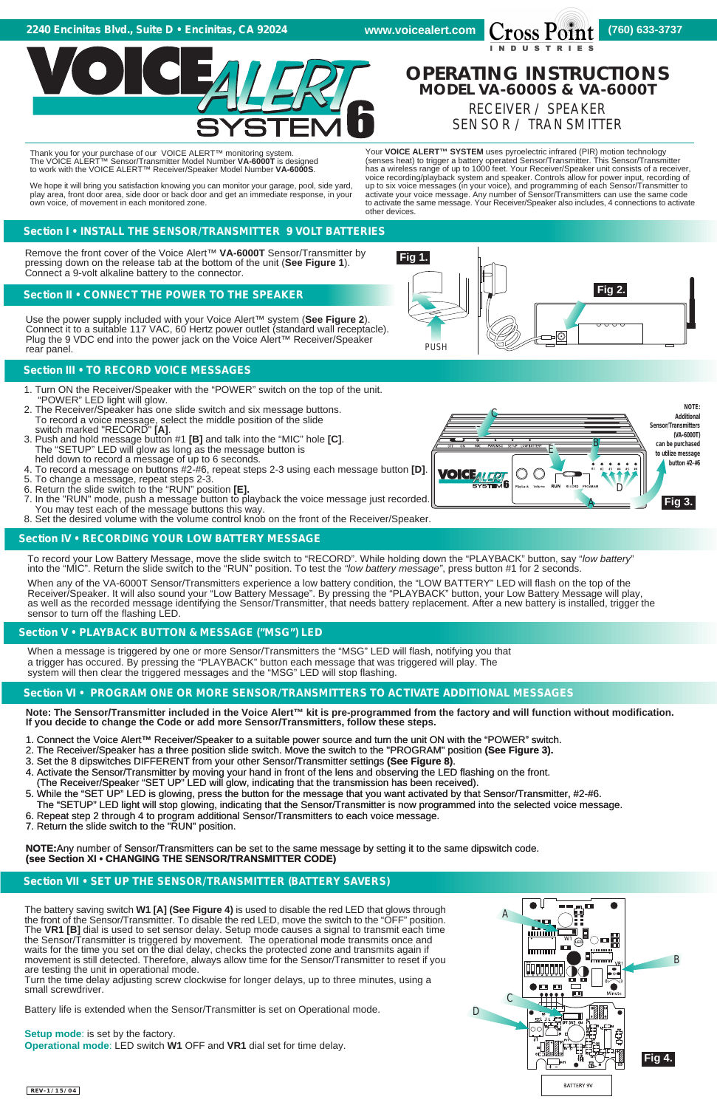- 1. Turn ON the Receiver/Speaker with the "POWER" switch on the top of the unit. "POWER" LED light will glow.
- 2. The Receiver/Speaker has one slide switch and six message buttons. To record a voice message, select the middle position of the slide switch marked "RECORD" **[A]**.
- 3. Push and hold message button #1 **[B]** and talk into the "MIC" hole **[C]**. The "SETUP" LED will glow as long as the message button is held down to record a message of up to 6 seconds.
- 4. To record a message on buttons #2-#6, repeat steps 2-3 using each message button **[D]**.
- 5. To change a message, repeat steps 2-3.
- 6. Return the slide switch to the "RUN" position **[E].**
- 7. In the "RUN" mode, push a message button to playback the voice message just recorded. You may test each of the message buttons this way.
- 8. Set the desired volume with the volume control knob on the front of the Receiver/Speaker.

Thank you for your purchase of our VOICE ALERT™ monitoring system. The VOICE ALERT™ Sensor/Transmitter Model Number **VA-6000T** is designed to work with the VOICE ALERT™ Receiver/Speaker Model Number **VA-6000S**.

We hope it will bring you satisfaction knowing you can monitor your garage, pool, side yard, play area, front door area, side door or back door and get an immediate response, in your own voice, of movement in each monitored zone.

Your **VOICE ALERT™ SYSTEM** uses pyroelectric infrared (PIR) motion technology (senses heat) to trigger a battery operated Sensor/Transmitter. This Sensor/Transmitter has a wireless range of up to 1000 feet. Your Receiver/Speaker unit consists of a receiver, voice recording/playback system and speaker. Controls allow for power input, recording of up to six voice messages (in your voice), and programming of each Sensor/Transmitter to activate your voice message. Any number of Sensor/Transmitters can use the same code to activate the same message. Your Receiver/Speaker also includes, 4 connections to activate other devices.

**OPERATING INSTRUCTIONS**

# **Section I • INSTALL THE SENSOR/TRANSMITTER 9 VOLT BATTERIES**

Remove the front cover of the Voice Alert™ **VA-6000T** Sensor/Transmitter by pressing down on the release tab at the bottom of the unit (**See Figure 1**). Connect a 9-volt alkaline battery to the connector.

## **Section II • CONNECT THE POWER TO THE SPEAKER**

Use the power supply included with your Voice Alert™ system (**See Figure 2**). Connect it to a suitable 117 VAC, 60 Hertz power outlet (standard wall receptacle). Plug the 9 VDC end into the power jack on the Voice Alert™ Receiver/Speaker rear panel.

**Setup mode:** is set by the factory. **Operational mode**: LED switch **W1** OFF and **VR1** dial set for time delay.

- 1. Connect the Voice Alert™ Receiver/Speaker to a suitable power source and turn the unit ON with the "POWER" switch.
- 2. The Receiver/Speaker has a three position slide switch. Move the switch to the "PROGRAM" position **(See Figure 3).**
- 3. Set the 8 dipswitches DIFFERENT from your other Sensor/Transmitter settings **(See Figure 8)**.
- 4. Activate the Sensor/Transmitter by moving your hand in front of the lens and observing the LED flashing on the front.
- (The Receiver/Speaker "SET UP" LED will glow, indicating that the transmission has been received).
- 5. While the "SET UP" LED is glowing, press the button for the message that you want activated by that Sensor/Transmitter, #2-#6.
- The "SETUP" LED light will stop glowing, indicating that the Sensor/Transmitter is now programmed into the selected voice message.
- 

6. Repeat step 2 through 4 to program additional Sensor/Transmitters to each voice message. 7. Return the slide switch to the "RUN" position.

**NOTE:**Any number of Sensor/Transmitters can be set to the same message by setting it to the same dipswitch code. **(see Section XI • CHANGING THE SENSOR/TRANSMITTER CODE)**

#### **Section VII • SET UP THE SENSOR/TRANSMITTER (BATTERY SAVERS)**

## **Section III • TO RECORD VOICE MESSAGES**

## **Section VI • PROGRAM ONE OR MORE SENSOR/TRANSMITTERS TO ACTIVATE ADDITIONAL MESSAGES**

**2240 Encinitas Blvd., Suite D • Encinitas, CA 92024 www.voicealert.com (760) 633-3737**

**MODEL VA-6000S & VA-6000T**

RECEIVER / SPEAKER SENSOR / TRANSMITTER

**Note: The Sensor/Transmitter included in the Voice Alert™ kit is pre-programmed from the factory and will function without modification. If you decide to change the Code or add more Sensor/Transmitters, follow these steps.**

The battery saving switch **W1 [A] (See Figure 4)** is used to disable the red LED that glows through the front of the Sensor/Transmitter. To disable the red LED, move the switch to the "OFF" position. The **VR1 [B]** dial is used to set sensor delay. Setup mode causes a signal to transmit each time the Sensor/Transmitter is triggered by movement. The operational mode transmits once and waits for the time you set on the dial delay, checks the protected zone and transmits again if movement is still detected. Therefore, always allow time for the Sensor/Transmitter to reset if you are testing the unit in operational mode.

Turn the time delay adjusting screw clockwise for longer delays, up to three minutes, using a small screwdriver.

Battery life is extended when the Sensor/Transmitter is set on Operational mode.

# **Section IV • RECORDING YOUR LOW BATTERY MESSAGE**

To record your Low Battery Message, move the slide switch to "RECORD". While holding down the "PLAYBACK" button, say "*low battery*" into the "MIC". Return the slide switch to the "RUN" position. To test the *"low battery message"*, press button #1 for 2 seconds.

## **Section V • PLAYBACK BUTTON & MESSAGE ("MSG") LED**

When any of the VA-6000T Sensor/Transmitters experience a low battery condition, the "LOW BATTERY" LED will flash on the top of the Receiver/Speaker. It will also sound your "Low Battery Message". By pressing the "PLAYBACK" button, your Low Battery Message will play, as well as the recorded message identifying the Sensor/Transmitter, that needs battery replacement. After a new battery is installed, trigger the sensor to turn off the flashing LED.

**Fig 1.**



**INDUSTRIFS** 







When a message is triggered by one or more Sensor/Transmitters the "MSG" LED will flash, notifying you that a trigger has occured. By pressing the "PLAYBACK" button each message that was triggered will play. The system will then clear the triggered messages and the "MSG" LED will stop flashing.

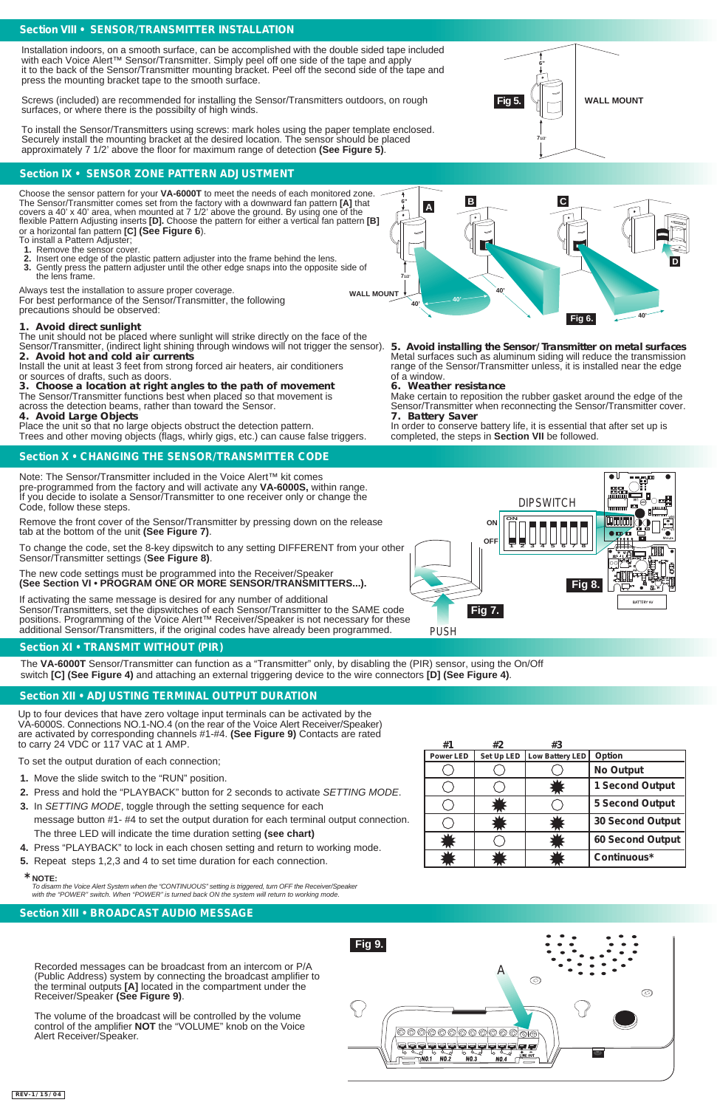# **Section VIII • SENSOR/TRANSMITTER INSTALLATION**

Note: The Sensor/Transmitter included in the Voice Alert™ kit comes pre-programmed from the factory and will activate any **VA-6000S,** within range. If you decide to isolate a Sensor/Transmitter to one receiver only or change the Code, follow these steps.

To change the code, set the 8-key dipswitch to any setting DIFFERENT from your other Sensor/Transmitter settings (**See Figure 8)**.

Installation indoors, on a smooth surface, can be accomplished with the double sided tape included with each Voice Alert™ Sensor/Transmitter. Simply peel off one side of the tape and apply it to the back of the Sensor/Transmitter mounting bracket. Peel off the second side of the tape and press the mounting bracket tape to the smooth surface.

Screws (included) are recommended for installing the Sensor/Transmitters outdoors, on rough surfaces, or where there is the possibilty of high winds.

To install the Sensor/Transmitters using screws: mark holes using the paper template enclosed. Securely install the mounting bracket at the desired location. The sensor should be placed approximately 7 1/2' above the floor for maximum range of detection **(See Figure 5)**.

Place the unit so that no large objects obstruct the detection pattern. Trees and other moving objects (flags, whirly gigs, etc.) can cause false triggers. **5. Avoid installing the Sensor/Transmitter on metal surfaces** Metal surfaces such as aluminum siding will reduce the transmission range of the Sensor/Transmitter unless, it is installed near the edge of a window.

**6. Weather resistance**

Make certain to reposition the rubber gasket around the edge of the Sensor/Transmitter when reconnecting the Sensor/Transmitter cover. **7. Battery Saver**

In order to conserve battery life, it is essential that after set up is completed, the steps in **Section VII** be followed.

#### **1. Avoid direct sunlight**

The unit should not be placed where sunlight will strike directly on the face of the

Sensor/Transmitter, (indirect light shining through windows will not trigger the sensor). **2. Avoid hot and cold air currents**

Install the unit at least 3 feet from strong forced air heaters, air conditioners or sources of drafts, such as doors.

**3. Choose a location at right angles to the path of movement**



- The Sensor/Transmitter functions best when placed so that movement is
- across the detection beams, rather than toward the Sensor.

**4. Avoid Large Objects**

Choose the sensor pattern for your **VA-6000T** to meet the needs of each monitored zone. The Sensor/Transmitter comes set from the factory with a downward fan pattern **[A]** that covers a 40' x 40' area, when mounted at 7 1/2' above the ground. By using one of the flexible Pattern Adjusting inserts **[D].** Choose the pattern for either a vertical fan pattern **[B]** or a horizontal fan pattern **[C] (See Figure 6**).



- To install a Pattern Adjuster;
- **1.** Remove the sensor cover.
- **2.** Insert one edge of the plastic pattern adjuster into the frame behind the lens.
- **3.** Gently press the pattern adjuster until the other edge snaps into the opposite side of the lens frame.

**Fig 5.**



## **Section XII • ADJUSTING TERMINAL OUTPUT DURATION**

Up to four devices that have zero voltage input terminals can be activated by the VA-6000S. Connections NO.1-NO.4 (on the rear of the Voice Alert Receiver/Speaker) are activated by corresponding channels #1-#4. **(See Figure 9)** Contacts are rated to carry 24 VDC or 117 VAC at 1 AMP.

To set the output duration of each connection;

- **1.** Move the slide switch to the "RUN" position.
- **2.** Press and hold the "PLAYBACK" button for 2 seconds to activate *SETTING MODE*.
- **3.** In *SETTING MODE*, toggle through the setting sequence for each

 message button #1- #4 to set the output duration for each terminal output connection. The three LED will indicate the time duration setting **(see chart)**

|           | #2 |                              |                 |
|-----------|----|------------------------------|-----------------|
| Power LED |    | Set Up LED   Low Battery LED | Option          |
|           |    |                              | No Output       |
|           |    |                              | 1 Second Output |
|           |    |                              | 5 Second Output |

|  |  | 30 Second Output |
|--|--|------------------|
|  |  | 60 Second Output |
|  |  | Continuous*      |

## **Section IX • SENSOR ZONE PATTERN ADJUSTMENT**

## **Section X • CHANGING THE SENSOR/TRANSMITTER CODE**

PUSH

Always test the installation to assure proper coverage.

For best performance of the Sensor/Transmitter, the following precautions should be observed:

**WALL MOUNT 6"**

**71/2'**

The **VA-6000T** Sensor/Transmitter can function as a "Transmitter" only, by disabling the (PIR) sensor, using the On/Off switch **[C] (See Figure 4)** and attaching an external triggering device to the wire connectors **[D] (See Figure 4)**.

#### **Section XI • TRANSMIT WITHOUT (PIR)**

- **4.** Press "PLAYBACK" to lock in each chosen setting and return to working mode.
- **5.** Repeat steps 1,2,3 and 4 to set time duration for each connection.
- **NOTE: \***

If activating the same message is desired for any number of additional Sensor/Transmitters, set the dipswitches of each Sensor/Transmitter to the SAME code positions. Programming of the Voice Alert<sup>™</sup> Receiver/Speaker is not necessary for these additional Sensor/Transmitters, if the original codes have already been programmed.

#### The new code settings must be programmed into the Receiver/Speaker **(See Section VI • PROGRAM ONE OR MORE SENSOR/TRANSMITTERS...).**

Remove the front cover of the Sensor/Transmitter by pressing down on the release tab at the bottom of the unit **(See Figure 7)**.

*To disarm the Voice Alert System when the "CONTINUOUS" setting is triggered, turn OFF the Receiver/Speaker with the "POWER" switch. When "POWER" is turned back ON the system will return to working mode.*

Recorded messages can be broadcast from an intercom or P/A (Public Address) system by connecting the broadcast amplifier to the terminal outputs **[A]** located in the compartment under the Receiver/Speaker **(See Figure 9)**.

The volume of the broadcast will be controlled by the volume control of the amplifier **NOT** the "VOLUME" knob on the Voice Alert Receiver/Speaker.

#### **Section XIII • BROADCAST AUDIO MESSAGE**